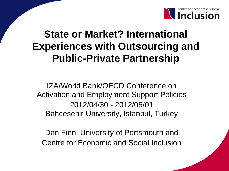

## **State or Market? International Experiences with Outsourcing and Public-Private Partnership**

IZA/World Bank/OECD Conference on Activation and Employment Support Policies 2012/04/30 - 2012/05/01 Bahcesehir University, Istanbul, Turkey

Dan Finn, University of Portsmouth and Centre for Economic and Social Inclusion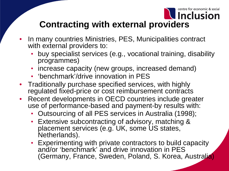

### **Contracting with external providers**

- In many countries Ministries, PES, Municipalities contract with external providers to:
	- buy specialist services (e.g., vocational training, disability programmes)
	- increase capacity (new groups, increased demand)
	- 'benchmark'/drive innovation in PES
- Traditionally purchase specified services, with highly regulated fixed-price or cost reimbursement contracts
- Recent developments in OECD countries include greater use of performance-based and payment-by results with:
	- Outsourcing of all PES services in Australia (1998);
	- Extensive subcontracting of advisory, matching & placement services (e.g. UK, some US states, Netherlands).
	- Experimenting with private contractors to build capacity and/or 'benchmark' and drive innovation in PES (Germany, France, Sweden, Poland, S. Korea, Australia)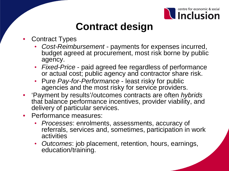

## **Contract design**

- Contract Types
	- *Cost-Reimbursement*  payments for expenses incurred, budget agreed at procurement, most risk borne by public agency.
	- *Fixed-Price*  paid agreed fee regardless of performance or actual cost; public agency and contractor share risk.
	- Pure *Pay-for-Performance* least risky for public agencies and the most risky for service providers.
- 'Payment by results'/outcomes contracts are often *hybrids* that balance performance incentives, provider viability, and delivery of particular services.
- Performance measures:
	- *Processes*: enrolments, assessments, accuracy of referrals, services and, sometimes, participation in work activities
	- *Outcomes*: job placement, retention, hours, earnings, education/training.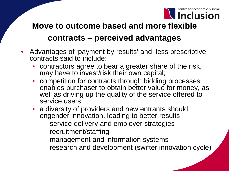

### **Move to outcome based and more flexible contracts – perceived advantages**

- Advantages of 'payment by results' and less prescriptive contracts said to include:
	- contractors agree to bear a greater share of the risk, may have to invest/risk their own capital;
	- competition for contracts through bidding processes enables purchaser to obtain better value for money, as well as driving up the quality of the service offered to service users;
	- a diversity of providers and new entrants should engender innovation, leading to better results
		- service delivery and employer strategies
		- recruitment/staffing
		- management and information systems
		- research and development (swifter innovation cycle)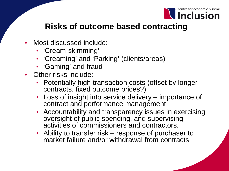

### **Risks of outcome based contracting**

- Most discussed include:
	- 'Cream-skimming'
	- 'Creaming' and 'Parking' (clients/areas)
	- 'Gaming' and fraud
- Other risks include:
	- Potentially high transaction costs (offset by longer contracts, fixed outcome prices?)
	- Loss of insight into service delivery importance of contract and performance management
	- Accountability and transparency issues in exercising oversight of public spending, and supervising activities of commissioners and contractors.
	- Ability to transfer risk response of purchaser to market failure and/or withdrawal from contracts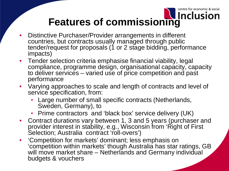### centre for economic & social **Features of commissioning**

- Distinctive Purchaser/Provider arrangements in different countries, but contracts usually managed through public tender/request for proposals (1 or 2 stage bidding, performance impacts)
- Tender selection criteria emphasise financial viability, legal compliance, programme design, organisational capacity, capacity to deliver services – varied use of price competition and past performance
- Varying approaches to scale and length of contracts and level of service specification, from:
	- Large number of small specific contracts (Netherlands, Sweden, Germany), to
	- Prime contractors and 'black box' service delivery (UK)
- Contract durations vary between 1, 3 and 5 years (purchaser and provider interest in stability, e.g., Wisconsin from 'Right of First Selection; Australia contract 'roll-overs')
- 'Competition for markets' dominant; less emphasis on 'competition within markets' though Australia has star ratings, GB will move market share – Netherlands and Germany individual budgets & vouchers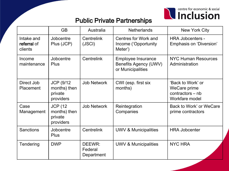

#### Public Private Partnerships

|                                      | <b>GB</b>                                                 | Australia                       | <b>Netherlands</b>                                                             | <b>New York City</b>                                                    |
|--------------------------------------|-----------------------------------------------------------|---------------------------------|--------------------------------------------------------------------------------|-------------------------------------------------------------------------|
| Intake and<br>referral of<br>clients | Jobcentre<br>Plus (JCP)                                   | Centrelink<br>(JSCI)            | <b>Centres for Work and</b><br>Income ('Opportunity<br>Meter')                 | <b>HRA Jobcenters -</b><br>Emphasis on 'Diversion'                      |
| Income<br>maintenance                | Jobcentre<br><b>Plus</b>                                  | Centrelink                      | <b>Employee Insurance</b><br><b>Benefits Agency (UWV)</b><br>or Municipalities | <b>NYC Human Resources</b><br>Administration                            |
| Direct Job<br>Placement              | <b>JCP (9/12)</b><br>months) then<br>private<br>providers | <b>Job Network</b>              | CWI (esp. first six<br>months)                                                 | 'Back to Work' or<br>WeCare prime<br>contractors – nb<br>Workfare model |
| Case<br>Management                   | <b>JCP (12</b><br>months) then<br>private<br>providers    | <b>Job Network</b>              | Reintegration<br>Companies                                                     | Back to Work' or WeCare<br>prime contractors                            |
| <b>Sanctions</b>                     | Jobcentre<br>Plus                                         | <b>Centrelink</b>               | <b>UWV &amp; Municipalities</b>                                                | <b>HRA Jobcenter</b>                                                    |
| Tendering                            | <b>DWP</b>                                                | DEEWR:<br>Federal<br>Department | UWV & Municipalities                                                           | <b>NYC HRA</b>                                                          |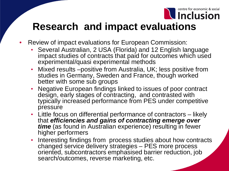

## **Research and impact evaluations**

- Review of impact evaluations for European Commission:
	- Several Australian, 2 USA (Florida) and 12 English language impact studies of contracts that paid for outcomes which used experimental/quasi experimental methods
	- Mixed results –positive from Australia, UK; less positive from studies in Germany, Sweden and France, though worked better with some sub groups
	- Negative European findings linked to issues of poor contract design, early stages of contracting, and contrasted with typically increased performance from PES under competitive pressure
	- Little focus on differential performance of contractors likely that *efficiencies and gains of contracting emerge over time* (as found in Australian experience) resulting in fewer higher performers
	- Interesting findings from process studies about how contracts changed service delivery strategies – PES more process oriented, subcontractors emphasised barrier reduction, job search/outcomes, reverse marketing, etc.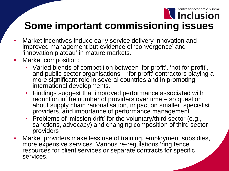### centre for economic & social **U** Inclusion

### **Some important commissioning issues**

- Market incentives induce early service delivery innovation and improved management but evidence of 'convergence' and 'innovation plateau' in mature markets.
- Market composition:
	- Varied blends of competition between 'for profit', 'not for profit', and public sector organisations – 'for profit' contractors playing a more significant role in several countries and in promoting international developments.
	- Findings suggest that improved performance associated with reduction in the number of providers over time – so question about supply chain rationalisation, impact on smaller, specialist providers, and importance of performance management.
	- Problems of 'mission drift' for the voluntary/third sector (e.g., sanctions, advocacy) and changing composition of third sector providers
- Market providers make less use of training, employment subsidies, more expensive services. Various re-regulations 'ring fence' resources for client services or separate contracts for specific services.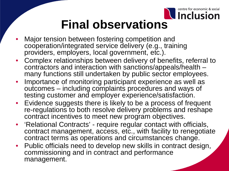

# **Final observations**

- Major tension between fostering competition and cooperation/integrated service delivery (e.g., training providers, employers, local government, etc.).
- Complex relationships between delivery of benefits, referral to contractors and interaction with sanctions/appeals/health many functions still undertaken by public sector employees.
- Importance of monitoring participant experience as well as outcomes – including complaints procedures and ways of testing customer and employer experience/satisfaction.
- Evidence suggests there is likely to be a process of frequent re-regulations to both resolve delivery problems and reshape contract incentives to meet new program objectives.
- 'Relational Contracts' require regular contact with officials, contract management, access, etc., with facility to renegotiate contract terms as operations and circumstances change.
- Public officials need to develop new skills in contract design, commissioning and in contract and performance management.